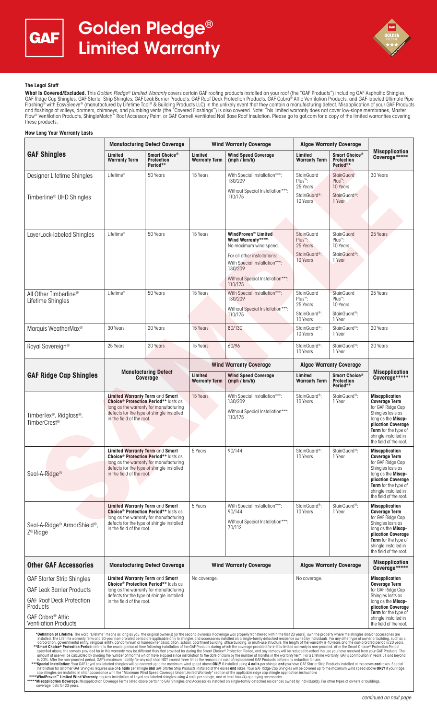



## **The Legal Stuff**

**What Is Covered/Excluded.** This Golden Pledge® Limited Warranty covers certain GAF roofing products installed on your roof (the "GAF Products") including GAF Asphaltic Shingles, GAF Ridge Cap Shingles, GAF Starter Strip Shingles, GAF Leak Barrier Products, GAF Roof Deck Protection Products, GAF Cobra® Attic Ventilation Products, and GAF-labeled Ultimate Pipe Flashing® with EasySleeve® (manufactured by Lifetime Tool® & Building Products LLC) in the unlikely event that they contain a manufacturing defect. Misapplication of your GAF Products and flashings at valleys, dormers, chimneys, and plumbing vents (the "Covered Flashings") is also covered. Note: This limited warranty does not cover low-slope membranes, Master<br>Flow® Ventilation Products, ShingleMatch™ R these products.

#### **How Long Your Warranty Lasts GAF Shingles Manufacturing Defect Coverage | Wind Warranty Coverage | Algae Warranty Coverage Misapplication Coverage\*\*\*\*\* Limited Wind Speed Coverage (mph / km/h) Warranty Term Smart Choice® Protection Period\*\* Limited Warranty Term Limited Warranty Term Smart Choice**<sup>®</sup> **Protection Period\*\*** Designer Lifetime Shingles Timberline® UHD Shingles Lifetime\* | 50 Years | 15 Years | With Special Installation\*\*\*: 130/209 Without Special Installation\*\*\*: 110/175 StainGuard Plus™: 25 Years StainGuard<sup>®</sup> 10 Years **StainGuard** Plus™: 10 Years StainGuard<sup>®</sup> 1 Year 30 Years LayerLock-labeled Shingles Lifetime\* 50 Years 15 Years **WindProven™ Limited**  Wind Warranty\* No maximum wind speed. For all other installations: With Special Installation\*\*\*: 130/209 Without Special Installation\*\*\* 110/175 **StainGuard** Plus™: 25 Years StainGuard®: 10 Years **StainGuard** Plus™: 10 Years StainGuard®: 1 Year 25 Years All Other Timberline® Lifetime Shingles Lifetime\* 150 Years 15 Years 15 Years With Special Installation\*\*\* 130/209 Without Special Installation\*\*\* 110/175 **StainGuard** Plus™: 25 Years StainGuard®: 10 Years **StainGuard** Plus™: 10 Years StainGuard®: 1 Year 25 Years Marquis WeatherMax® 30 Years 20 Years 15 Years 80/130 StainGuard®: 10 Years StainGuard®: 1 Year 20 Years Royal Sovereign® 25 Years 20 Years 15 Years 60/96 StainGuard®: 10 Years StainGuard®: 1 Year 20 Years **GAF Ridge Cap Shingles Manufacturing Defect Coverage Wind Warranty Coverage Algae Warranty Coverage Misapplication Coverage\*\*\*\*\* Limited Wind Speed Coverage (mph / km/h) Warranty Term Limited Warranty Term Smart Choice® Protection Period\*\*** TimberTex®, Ridglass®, TimberCrest® **Limited Warranty Term** and **Smart Choice® Protection Period\*\*** lasts as **UNDER PRODUCED FOR A FIGURE 1999 TO A FIGURE 1999** defects for the type of shingle installed in the field of the roof. 15 Years With Special Installation\*\*\* 130/209 Without Special Installation\*\*\*: 110/175 StainGuard®: 10 Years StainGuard®: 1 Year **Misapplication Coverage Term**  for GAF Ridge Cap Shingles lasts as long as the **Misap-plication Coverage Term** for the type of<br>shingle installed in shingle install the field of the roof. Seal-A-Ridge® **Limited Warranty Term** and **Smart Choice® Protection Period\*\*** lasts as long as the warranty for manufacturing defects for the type of shingle installed in the field of the roof. 5 Years 90/144 StainGuard® 10 Years StainGuard®: 1 Year **Misapplication Coverage Term**  for GAF Ridge Cap Shingles lasts as long as the **Misapplication Coverage Term** for the type of shingle installed in the field of the roof. Seal-A-Ridge® ArmorShield®, Z ® Ridge **Limited Warranty Term** and **Smart Choice® Protection Period\*\*** lasts as long as the warranty for manufacturing defects for the type of shingle installed in the field of the roof. 5 Years With Special Installation\*\*\*: 90/144 Without Special Installation\*\*\*: 70/112 StainGuard®: 10 Years StainGuard®: 1 Year **Misapplication Coverage Term**  for GAF Ridge Cap Shingles lasts as long as the **Misapplication Coverage Term** for the type of shingle installed in the field of the roof. **Other GAF Accessories** | Manufacturing Defect Coverage | Wind Warranty Coverage | Algae Warranty Coverage **Coverage\*\*\*\*\*** GAF Starter Strip Shingles GAF Leak Barrier Products GAF Roof Deck Protection **Products** GAF Cobra® Attic Ventilation Products **Limited Warranty Term** and **Smart Choice® Protection Period\*\*** lasts as long as the warranty for manufacturing defects for the type of shingle installed in the field of the roof. No coverage. **Misapplication Misapplication Misapplication Coverage Term Coverage Term** for GAF Ridge Cap Shingles lasts as long as the **Misapplication Coverage Term** for the type of shingle installed in the field of the roof. "Definition of Lifetime: The word "Lifetime" means as long as you, the original owners (b) from second owers (b) from the rest of a many them then in the most property intersect them and 50-year non-prorated period or expl **SAMPLE**